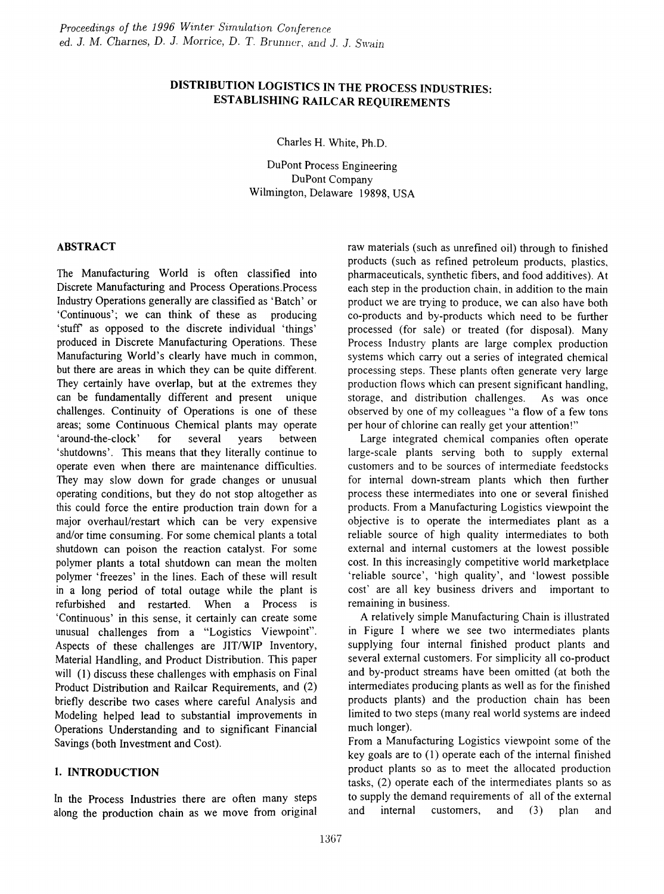# DISTRIBUTION LOGISTICS IN THE PROCESS INDUSTRIES: ESTABLISHING RAILCAR REQUIREMENTS

Charles H. White, Ph.D.

DuPont Process Engineering DuPont Company Wilmington, Delaware 19898, USA

# ABSTRACT

The Manufacturing World is often classified into Discrete Manufacturing and Process Operations.Process Industry Operations generally are classified as 'Batch' or 'Continuous'; we can think of these as producing 'stuff as opposed to the discrete individual 'things' produced in Discrete Manufacturing Operations. These Manufacturing World's clearly have much in common, but there are areas in which they can be quite different. They certainly have overlap, but at the extremes they can be fundamentally different and present unique challenges. Continuity of Operations is one of these areas; some Continuous Chemical plants may operate 'around-the-clock' for several years between 'shutdowns'. This means that they literally continue to operate even when there are maintenance difficulties. They may slow down for grade changes or unusual operating conditions, but they do not stop altogether as this could force the entire production train down for a major overhaul/restart which can be very expensive and/or time consuming. For some chemical plants a total shutdown can poison the reaction catalyst. For some polymer plants a total shutdown can mean the molten polymer 'freezes' in the lines. Each of these will result in a long period of total outage while the plant is refurbished and restarted. When a Process is 'Continuous' in this sense, it certainly can create some unusual challenges from a "Logistics Viewpoint". Aspects of these challenges are JIT/WIP Inventory, Material Handling, and Product Distribution. This paper will (1) discuss these challenges with emphasis on Final Product Distribution and Railcar Requirements, and (2) briefly describe two cases where careful Analysis and Modeling helped lead to substantial improvements in Operations Understanding and to significant Financial Savings (both Investment and Cost).

# 1. INTRODUCTION

In the Process Industries there are often many steps along the production chain as we move from original raw materials (such as unrefmed oil) through to fmished products (such as refmed petroleum products, plastics, pharmaceuticals, synthetic fibers, and food additives). At each step in the production chain, in addition to the main product we are trying to produce, we can also have both co-products and by-products which need to be further processed (for sale) or treated (for disposal). Many Process Industry plants are large complex production systems which carry out a series of integrated chemical processing steps. These plants often generate very large production flows which can present significant handling, storage, and distribution challenges. As was once observed by one of my colleagues "a flow of a few tons per hour of chlorine can really get your attention!"

Large integrated chemical companies often operate large-scale plants serving both to supply external customers and to be sources of intermediate feedstocks for internal down-stream plants which then further process these intermediates into one or several finished products. From a Manufacturing Logistics viewpoint the objective is to operate the intermediates plant as a reliable source of high quality intermediates to both external and internal customers at the lowest possible cost. In this increasingly competitive world marketplace 'reliable source', 'high quality', and 'lowest possible cost' are all key business drivers and important to remaining in business.

A relatively simple Manufacturing Chain is illustrated in Figure I where we see two intermediates plants supplying four internal finished product plants and several external customers. For simplicity all co-product and by-product streams have been omitted (at both the intermediates producing plants as well as for the finished products plants) and the production chain has been limited to two steps (many real world systems are indeed much longer).

From a Manufacturing Logistics viewpoint some of the key goals are to (1) operate each of the internal finished product plants so as to meet the allocated production tasks, (2) operate each of the intermediates plants so as to supply the demand requirements of all of the external and internal customers, and (3) plan and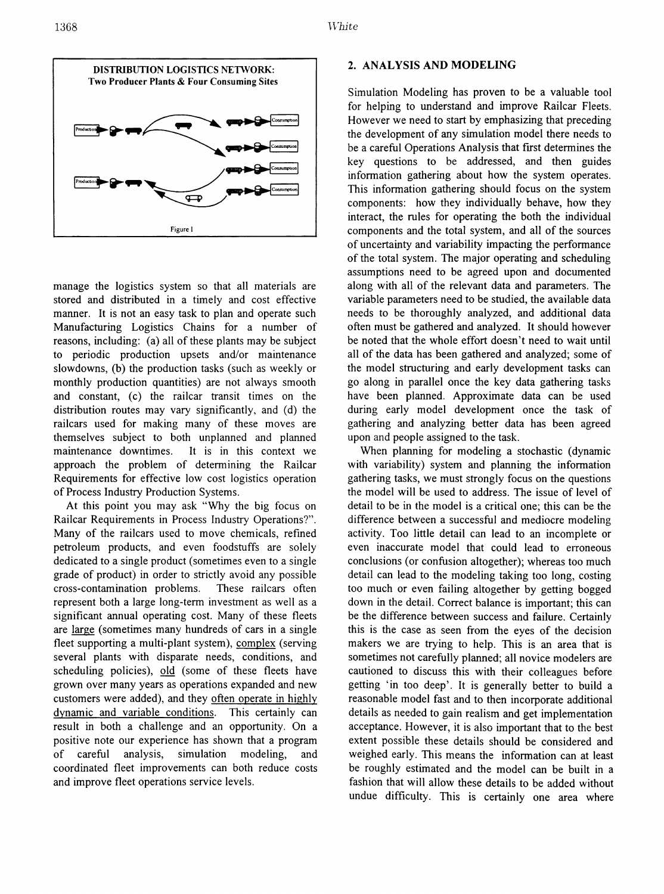

manage the logistics system so that all materials are stored and distributed in a timely and cost effective manner. It is not an easy task to plan and operate such Manufacturing Logistics Chains for a number of reasons, including: (a) all of these plants may be subject to periodic production upsets and/or maintenance slowdowns, (b) the production tasks (such as weekly or monthly production quantities) are not always smooth and constant, (c) the railcar transit times on the distribution routes may vary significantly, and (d) the railcars used for making many of these moves are themselves subject to both unplanned and planned maintenance downtimes. It is in this context we approach the problem of determining the Railcar Requirements for effective low cost logistics operation of Process Industry Production Systems.

At this point you may ask "Why the big focus on Railcar Requirements in Process Industry Operations?". Many of the railcars used to move chemicals, refmed petroleum products, and even foodstuffs are solely dedicated to a single product (sometimes even to a single grade of product) in order to strictly avoid any possible cross-contamination problems. These railcars often represent both a large long-term investment as well as a significant annual operating cost. Many of these fleets are large (sometimes many hundreds of cars in a single fleet supporting a multi-plant system), complex (serving several plants with disparate needs, conditions, and scheduling policies), old (some of these fleets have grown over many years as operations expanded and new customers were added), and they often operate in highly dynamic and variable conditions. This certainly can result in both a challenge and an opportunity. On a positive note our experience has shown that a program of careful analysis, simulation modeling, and coordinated fleet improvements can both reduce costs and improve fleet operations service levels.

### 2. ANALYSIS AND MODELING

Simulation Modeling has proven to be a valuable tool for helping to understand and improve Railcar Fleets. However we need to start by emphasizing that preceding the development of any simulation model there needs to be a careful Operations Analysis that first determines the key questions to be addressed, and then guides information gathering about how the system operates. This information gathering should focus on the system components: how they individually behave, how they interact, the rules for operating the both the individual components and the total system, and all of the sources of uncertainty and variability impacting the performance of the total system. The major operating and scheduling assumptions need to be agreed upon and documented along with all of the relevant data and parameters. The variable parameters need to be studied, the available data needs to be thoroughly analyzed, and additional data often must be gathered and analyzed. It should however be noted that the whole effort doesn't need to wait until all of the data has been gathered and analyzed; some of the model structuring and early development tasks can go along in parallel once the key data gathering tasks have been planned. Approximate data can be used during early model development once the task of gathering and analyzing better data has been agreed upon and people assigned to the task.

When planning for modeling a stochastic (dynamic with variability) system and planning the information gathering tasks, we must strongly focus on the questions the model will be used to address. The issue of level of detail to be in the model is a critical one; this can be the difference between a successful and mediocre modeling activity. Too little detail can lead to an incomplete or even inaccurate model that could lead to erroneous conclusions (or confusion altogether); whereas too much detail can lead to the modeling taking too long, costing too much or even failing altogether by getting bogged down in the detail. Correct balance is important; this can be the difference between success and failure. Certainly this is the case as seen from the eyes of the decision makers we are trying to help. This is an area that is sometimes not carefully planned; all novice modelers are cautioned to discuss this with their colleagues before getting 'in too deep'. It is generally better to build a reasonable model fast and to then incorporate additional details as needed to gain realism and get implementation acceptance. However, it is also important that to the best extent possible these details should be considered and weighed early. This means the information can at least be roughly estimated and the model can be built in a fashion that will allow these details to be added without undue difficulty. This is certainly one area where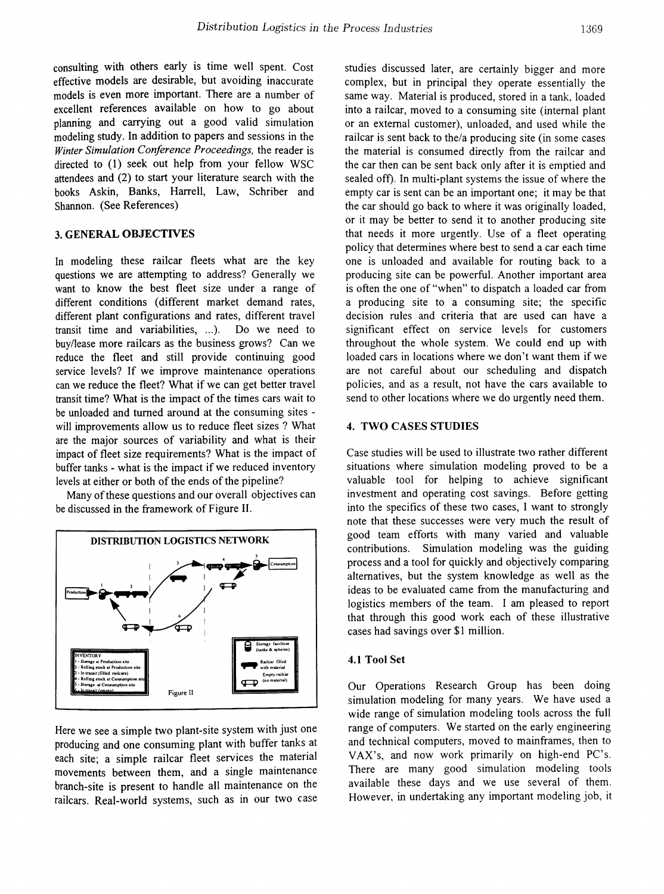consulting with others early is time well spent. Cost effective models are desirable, but avoiding inaccurate models is even more important. There are a number of excellent references available on how to go about planning and carrying out a good valid simulation modeling study. In addition to papers and sessions in the *Winter Simulation Conference Proceedings,* the reader is directed to (1) seek out help from your fellow WSC attendees and (2) to start your literature search with the books Askin, Banks, Harrell, Law, Schriber and Shannon. (See References)

## 3. GENERAL OBJECTIVES

In modeling these railcar fleets what are the key questions we are attempting to address? Generally we want to know the best fleet size under a range of different conditions (different market demand rates, different plant configurations and rates, different travel transit time and variabilities, ...). Do we need to buy/lease more railcars as the business grows? Can we reduce the fleet and still provide continuing good service levels? If we improve maintenance operations can we reduce the fleet? What if we can get better travel transit time? What is the impact of the times cars wait to be unloaded and turned around at the consuming sites will improvements allow us to reduce fleet sizes? What are the major sources of variability and what is their impact of fleet size requirements? What is the impact of buffer tanks - what is the impact if we reduced inventory levels at either or both of the ends of the pipeline?

Many of these questions and our overall objectives can be discussed in the framework of Figure II.



Here we see a simple two plant-site system with just one producing and one consuming plant with buffer tanks at each site; a simple railcar fleet services the material movements between them, and a single maintenance branch-site is present to handle all maintenance on the railcars. Real-world systems, such as in our two case studies discussed later, are certainly bigger and more complex, but in principal they operate essentially the same way. Material is produced, stored in a tank, loaded into a railcar, moved to a consuming site (internal plant or an external customer), unloaded, and used while the railcar is sent back to the/a producing site (in some cases the material is consumed directly from the railcar and the car then can be sent back only after it is emptied and sealed off). In multi-plant systems the issue of where the empty car is sent can be an important one; it may be that the car should go back to where it was originally loaded, or it may be better to send it to another producing site that needs it more urgently. Use of a fleet operating policy that determines where best to send a car each time one is unloaded and available for routing back to a producing site can be powerful. Another important area is often the one of "when" to dispatch a loaded car from a producing site to a consuming site; the specific decision rules and criteria that are used can have a significant effect on service levels for customers throughout the whole system. We could end up with loaded cars in locations where we don't want them if we are not careful about our scheduling and dispatch policies, and as a result, not have the cars available to send to other locations where we do urgently need them.

## 4. TWO CASES STUDIES

Case studies will be used to illustrate two rather different situations where simulation modeling proved to be a valuable tool for helping to achieve significant investment and operating cost savings. Before getting into the specifics of these two cases, I want to strongly note that these successes were very much the result of good team efforts with many varied and valuable contributions. Simulation modeling was the guiding process and a tool for quickly and objectively comparing alternatives, but the system knowledge as well as the ideas to be evaluated came from the manufacturing and logistics members of the team. I am pleased to report that through this good work each of these illustrative cases had savings over \$1 million.

#### 4.1 Tool Set

Our Operations Research Group has been doing simulation modeling for many years. We have used a wide range of simulation modeling tools across the full range of computers. We started on the early engineering and technical computers, moved to mainframes, then to VAX's, and now work primarily on high-end PC's. There are many good simulation modeling tools available these days and we use several of them. However, in undertaking any important modeling job, it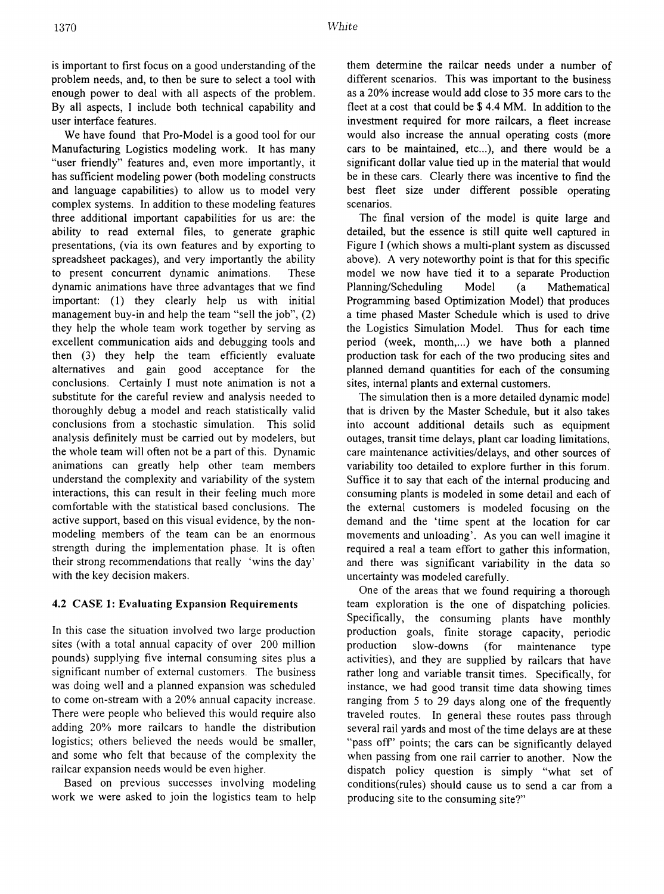is important to first focus on a good understanding of the problem needs, and, to then be sure to select a tool with enough power to deal with all aspects of the problem. By all aspects, I include both technical capability and user interface features.

We have found that Pro-Model is a good tool for our Manufacturing Logistics modeling work. It has many "user friendly" features and, even more importantly, it has sufficient modeling power (both modeling constructs and language capabilities) to allow us to model very complex systems. In addition to these modeling features three additional important capabilities for us are: the ability to read external files, to generate graphic presentations, (via its own features and by exporting to spreadsheet packages), and very importantly the ability to present concurrent dynamic animations. These dynamic animations have three advantages that we fmd important: (1) they clearly help us with initial management buy-in and help the team "sell the job", (2) they help the whole team work together by serving as excellent communication aids and debugging tools and then (3) they help the team efficiently evaluate alternatives and gain good acceptance for the conclusions. Certainly I must note animation is not a substitute for the careful review and analysis needed to thoroughly debug a model and reach statistically valid conclusions from a stochastic simulation. This solid analysis defmitely must be carried out by modelers, but the whole team will often not be a part of this. Dynamic animations can greatly help other team members understand the complexity and variability of the system interactions, this can result in their feeling much more comfortable with the statistical based conclusions. The active support, based en this visual evidence, by the nonmodeling members of the team can be an enormous strength during the implementation phase. It is often their strong recommendations that really 'wins the day' with the key decision makers.

# 4.2 CASE 1: Evaluating Expansion Requirements

In this case the situation involved two large production sites (with a total annual capacity of over 200 million pounds) supplying five internal consuming sites plus a significant number of external customers. The business was doing well and a planned expansion was scheduled to come on-stream with a 20% annual capacity increase. There were people who believed this would require also adding 20% more railcars to handle the distribution logistics; others believed the needs would be smaller, and some who felt that because of the complexity the railcar expansion needs would be even higher.

Based on previous successes involving modeling work we were asked to join the logistics team to help

them determine the railcar needs under a number of different scenarios. This was important to the business as a 20% increase would add close to 35 more cars to the fleet at a cost that could be \$ 4.4 MM. In addition to the investment required for more railcars, a fleet increase would also increase the annual operating costs (more cars to be maintained, etc...), and there would be a significant dollar value tied up in the material that would be in these cars. Clearly there was incentive to fmd the best fleet size under different possible operating scenarios.

The final version of the model is quite large and detailed, but the essence is still quite well captured in Figure I (which shows a multi-plant system as discussed above). A very noteworthy point is that for this specific model we now have tied it to a separate Production Planning/Scheduling Model (a Mathematical Programming based Optimization Model) that produces a time phased Master Schedule which is used to drive the Logistics Simulation Model. Thus for each time period (week, month,...) we have both a planned production task for each of the two producing sites and planned demand quantities for each of the consuming sites, internal plants and external customers.

The simulation then is a more detailed dynamic model that is driven by the Master Schedule, but it also takes into account additional details such as equipment outages, transit time delays, plant car loading limitations, care maintenance activities/delays, and other sources of variability too detailed to explore further in this forum. Suffice it to say that each of the internal producing and consuming plants is modeled in some detail and each of the external customers is modeled focusing on the demand and the 'time spent at the location for car movements and unloading'. As you can well imagine it required a real a team effort to gather this information, and there was significant variability in the data so uncertainty was modeled carefully.

One of the areas that we found requiring a thorough team exploration is the one of dispatching policies. Specifically, the consuming plants have monthly production goals, fmite storage capacity, periodic production slow-downs (for maintenance type activities), and they are supplied by railcars that have rather long and variable transit times. Specifically, for instance, we had good transit time data showing times ranging from 5 to 29 days along one of the frequently traveled routes. In general these routes pass through several rail yards and most of the time delays are at these "pass off" points; the cars can be significantly delayed when passing from one rail carrier to another. Now the dispatch policy question is simply "what set of conditions(rules) should cause us to send a car from a producing site to the consuming site?"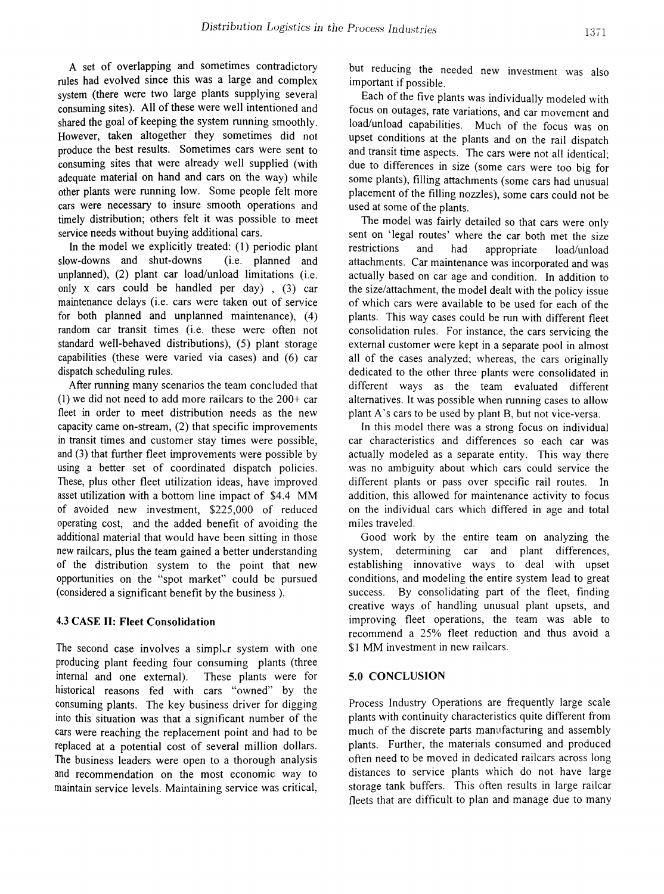A set of overlapping and sometimes contradictory rules had evolved since this was a large and complex system (there were two large plants supplying several consuming sites). All of these were well intentioned and shared the goal of keeping the system running smoothly. However, taken altogether they sometimes did not produce the best results. Sometimes cars were sent to consuming sites that were already well supplied (with adequate material on hand and cars on the way) while other plants were running low. Some people felt more cars were necessary to insure smooth operations and timely distribution; others felt it was possible to meet service needs without buying additional cars.

In the model we explicitly treated: (1) periodic plant slow-downs and shut-downs (i.e. planned and unplanned),  $(2)$  plant car load/unload limitations  $(i.e.$ only x cars could be handled per day) , (3) car maintenance delays (i.e. cars were taken out of service for both planned and unplanned maintenance), (4) random car transit times (i.e. these were often not standard well-behaved distributions), (5) plant storage capabilities (these were varied via cases) and (6) car dispatch scheduling rules.

After running many scenarios the team concluded that (1) we did not need to add more railcars to the 200+ car fleet in order to meet distribution needs as the new capacity came on-stream, (2) that specific improvements in transit times and customer stay times were possible, and (3) that further fleet improvements were possible by using a better set of coordinated dispatch policies. These, plus other fleet utilization ideas, have improved asset utilization with a bottom line impact of \$4.4 MM of avoided new investment, \$225,000 of reduced operating cost, and the added benefit of avoiding the additional material that would have been sitting in those new railcars, plus the team gained a better understanding of the distribution system to the point that new opportunities on the "spot market" could be pursued (considered a significant benefit by the business ).

## 4.3 CASE II: Fleet Consolidation

The second case involves a simpler system with one producing plant feeding four consuming plants (three internal and one external). These plants were for historical reasons fed with cars "owned" by the consuming plants. The key business driver for digging into this situation was that a significant number of the cars were reaching the replacement point and had to be replaced at a potential cost of several million dollars. The business leaders were open to a thorough analysis and recommendation on the most economic way to maintain service levels. Maintaining service was critical, but reducing the needed new investment was also important if possible.

Each of the five plants was individually modeled with focus on outages, rate variations, and car movement and load/unload capabilities. Much of the focus was on upset conditions at the plants and on the rail dispatch and transit time aspects. The cars were not all identical; due to differences in size (some cars were too big for some plants), filling attachments (some cars had unusual placement of the filling nozzles), some cars could not be used at some of the plants.

The model was fairly detailed so that cars were only sent on 'legal routes' where the car both met the size restrictions and had appropriate load/unload attachments. Car maintenance was incorporated and was actually based on car age and condition. In addition to the size/attachment, the model dealt with the policy issue of which cars were available to be used for each of the plants. This way cases could be run with different fleet consolidation rules. For instance, the cars servicing the external customer were kept in a separate pool in almost all of the cases analyzed; whereas, the cars originally dedicated to the other three plants were consolidated in different ways as the team evaluated different alternatives. It was possible when running cases to allow plant A's cars to be used by plant B, but not vice-versa.

In this model there was a strong focus on individual car characteristics and differences so each car was actually modeled as a separate entity. This way there was no ambiguity about which cars could service the different plants or pass over specific rail routes. In addition, this allowed for maintenance activity to focus on the individual cars which differed in age and total miles traveled.

Good work by the entire team on analyzing the system, determining car and plant differences, establishing innovative ways to deal with upset conditions, and modeling the entire system lead to great success. By consolidating part of the fleet, finding creative ways of handling unusual plant upsets, and improving fleet operations, the team was able to recommend a 25% fleet reduction and thus avoid a \$1 MM investment in new railcars.

### 5.0 CONCLUSION

Process Industry Operations are frequently large scale plants with continuity characteristics quite different from much of the discrete parts manufacturing and assembly plants. Further, the materials consumed and produced often need to be moved in dedicated railcars across long distances to service plants which do not have large storage tank buffers. This often results in large railcar fleets that are difficult to plan and manage due to many